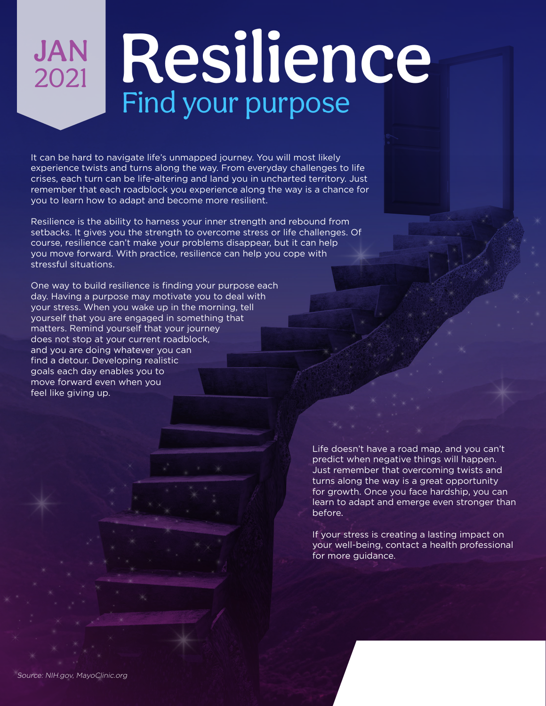## **JAN**<br>2021 Resilience Find your purpose

It can be hard to navigate life's unmapped journey. You will most likely experience twists and turns along the way. From everyday challenges to life crises, each turn can be life-altering and land you in uncharted territory. Just remember that each roadblock you experience along the way is a chance for you to learn how to adapt and become more resilient.

Resilience is the ability to harness your inner strength and rebound from setbacks. It gives you the strength to overcome stress or life challenges. Of course, resilience can't make your problems disappear, but it can help you move forward. With practice, resilience can help you cope with stressful situations.

One way to build resilience is finding your purpose each day. Having a purpose may motivate you to deal with your stress. When you wake up in the morning, tell yourself that you are engaged in something that matters. Remind yourself that your journey does not stop at your current roadblock, and you are doing whatever you can find a detour. Developing realistic goals each day enables you to move forward even when you feel like giving up.

> Life doesn't have a road map, and you can't predict when negative things will happen. Just remember that overcoming twists and turns along the way is a great opportunity for growth. Once you face hardship, you can learn to adapt and emerge even stronger than before.

If your stress is creating a lasting impact on your well-being, contact a health professional for more guidance.